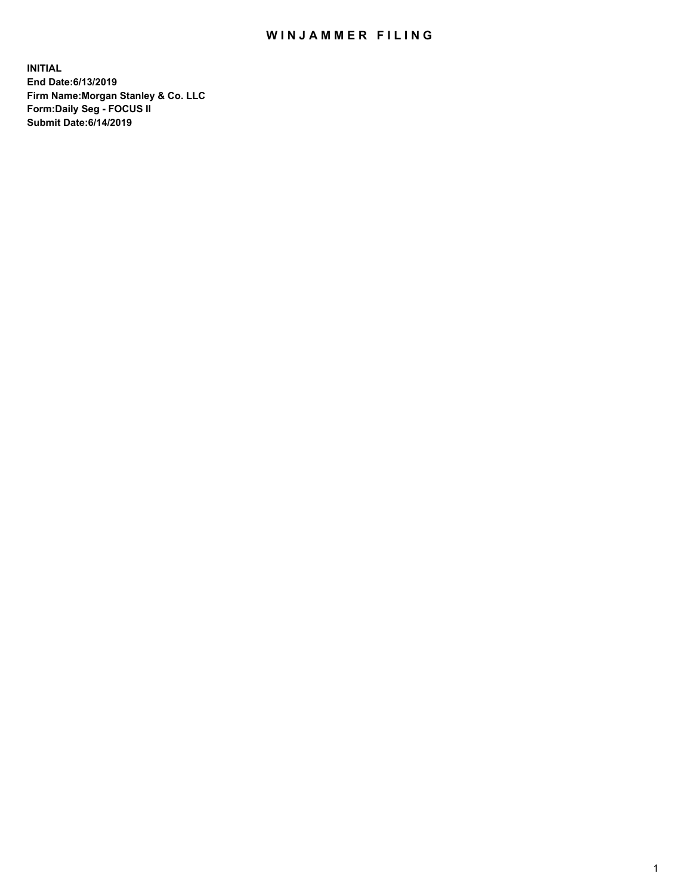## WIN JAMMER FILING

**INITIAL End Date:6/13/2019 Firm Name:Morgan Stanley & Co. LLC Form:Daily Seg - FOCUS II Submit Date:6/14/2019**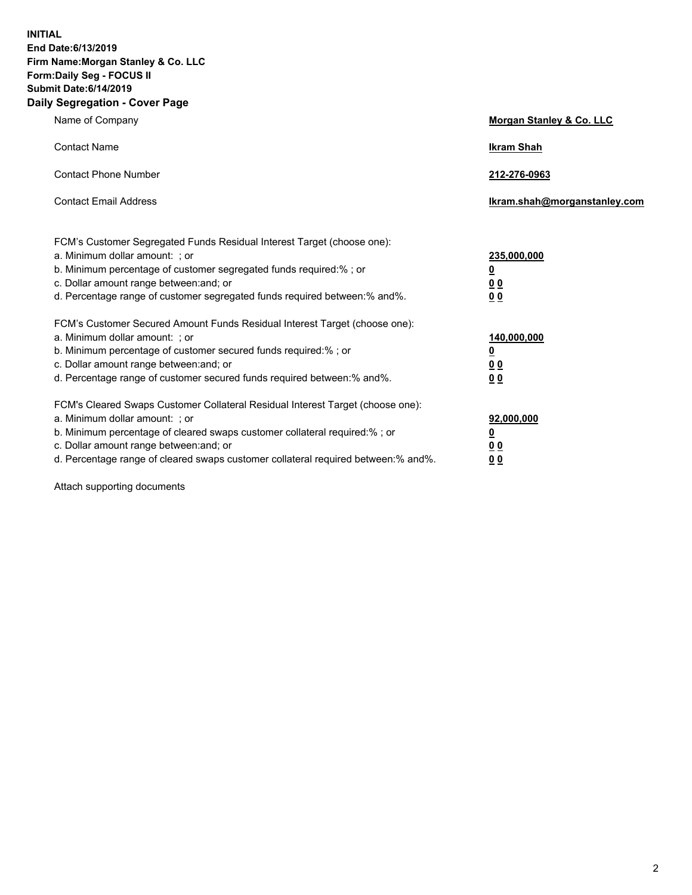**INITIAL End Date:6/13/2019 Firm Name:Morgan Stanley & Co. LLC Form:Daily Seg - FOCUS II Submit Date:6/14/2019 Daily Segregation - Cover Page**

| Name of Company                                                                                                                                                                                                                                                                                                                | Morgan Stanley & Co. LLC                               |
|--------------------------------------------------------------------------------------------------------------------------------------------------------------------------------------------------------------------------------------------------------------------------------------------------------------------------------|--------------------------------------------------------|
| <b>Contact Name</b>                                                                                                                                                                                                                                                                                                            | <b>Ikram Shah</b>                                      |
| <b>Contact Phone Number</b>                                                                                                                                                                                                                                                                                                    | 212-276-0963                                           |
| <b>Contact Email Address</b>                                                                                                                                                                                                                                                                                                   | Ikram.shah@morganstanley.com                           |
| FCM's Customer Segregated Funds Residual Interest Target (choose one):<br>a. Minimum dollar amount: ; or<br>b. Minimum percentage of customer segregated funds required:% ; or<br>c. Dollar amount range between: and; or<br>d. Percentage range of customer segregated funds required between:% and%.                         | 235,000,000<br><u>0</u><br><u>0 0</u><br>0 Q           |
| FCM's Customer Secured Amount Funds Residual Interest Target (choose one):<br>a. Minimum dollar amount: ; or<br>b. Minimum percentage of customer secured funds required:%; or<br>c. Dollar amount range between: and; or<br>d. Percentage range of customer secured funds required between:% and%.                            | 140,000,000<br><u>0</u><br><u>00</u><br>0 <sub>0</sub> |
| FCM's Cleared Swaps Customer Collateral Residual Interest Target (choose one):<br>a. Minimum dollar amount: ; or<br>b. Minimum percentage of cleared swaps customer collateral required:% ; or<br>c. Dollar amount range between: and; or<br>d. Percentage range of cleared swaps customer collateral required between:% and%. | 92,000,000<br><u>0</u><br><u>00</u><br>0 <sub>0</sub>  |

Attach supporting documents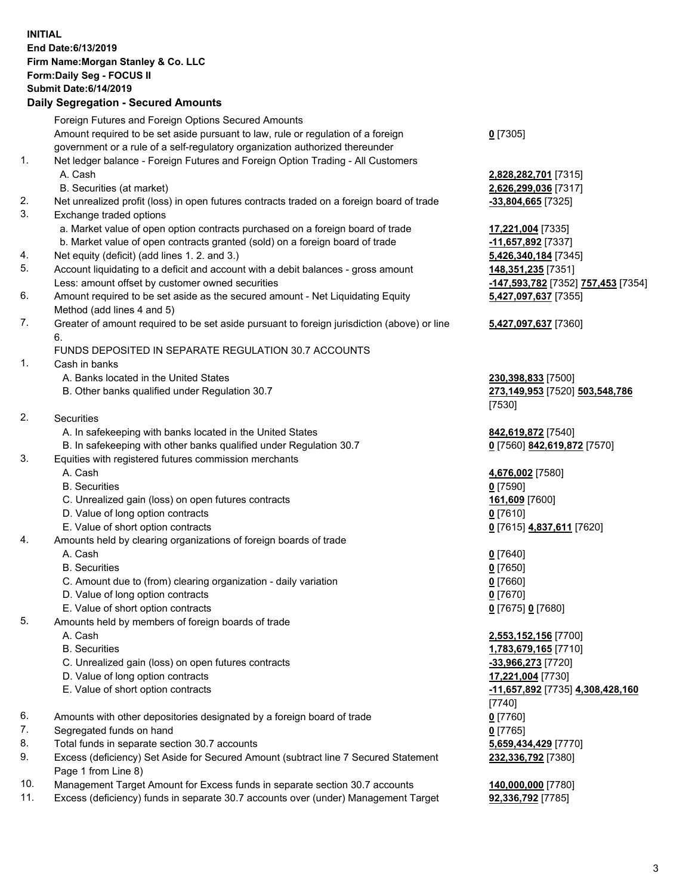## **INITIAL End Date:6/13/2019 Firm Name:Morgan Stanley & Co. LLC Form:Daily Seg - FOCUS II Submit Date:6/14/2019 Daily Segregation - Secured Amounts**

Foreign Futures and Foreign Options Secured Amounts Amount required to be set aside pursuant to law, rule or regulation of a foreign

- government or a rule of a self-regulatory organization authorized thereunder
- 1. Net ledger balance Foreign Futures and Foreign Option Trading All Customers A. Cash **2,828,282,701** [7315]
	- B. Securities (at market) **2,626,299,036** [7317]
- 2. Net unrealized profit (loss) in open futures contracts traded on a foreign board of trade **-33,804,665** [7325]
- 3. Exchange traded options
	- a. Market value of open option contracts purchased on a foreign board of trade **17,221,004** [7335]
	- b. Market value of open contracts granted (sold) on a foreign board of trade **-11,657,892** [7337]
- 4. Net equity (deficit) (add lines 1. 2. and 3.) **5,426,340,184** [7345]
- 5. Account liquidating to a deficit and account with a debit balances gross amount **148,351,235** [7351] Less: amount offset by customer owned securities **-147,593,782** [7352] **757,453** [7354]
- 6. Amount required to be set aside as the secured amount Net Liquidating Equity Method (add lines 4 and 5)
- 7. Greater of amount required to be set aside pursuant to foreign jurisdiction (above) or line 6.

## FUNDS DEPOSITED IN SEPARATE REGULATION 30.7 ACCOUNTS

1. Cash in banks

- A. Banks located in the United States **230,398,833** [7500]
- B. Other banks qualified under Regulation 30.7 **273,149,953** [7520] **503,548,786**
- 2. Securities
	- A. In safekeeping with banks located in the United States **842,619,872** [7540]
- B. In safekeeping with other banks qualified under Regulation 30.7 **0** [7560] **842,619,872** [7570]
- 3. Equities with registered futures commission merchants
	-
	- B. Securities **0** [7590]
	- C. Unrealized gain (loss) on open futures contracts **161,609** [7600]
	- D. Value of long option contracts **0** [7610]
	- E. Value of short option contracts **0** [7615] **4,837,611** [7620]
- 4. Amounts held by clearing organizations of foreign boards of trade
	- A. Cash **0** [7640]
	- B. Securities **0** [7650]
	- C. Amount due to (from) clearing organization daily variation **0** [7660]
	- D. Value of long option contracts **0** [7670]
	- E. Value of short option contracts **0** [7675] **0** [7680]
- 5. Amounts held by members of foreign boards of trade
	-
	-
	- C. Unrealized gain (loss) on open futures contracts **-33,966,273** [7720]
	- D. Value of long option contracts **17,221,004** [7730]
	-
- 6. Amounts with other depositories designated by a foreign board of trade **0** [7760]
- 7. Segregated funds on hand **0** [7765]
- 8. Total funds in separate section 30.7 accounts **5,659,434,429** [7770]
- 9. Excess (deficiency) Set Aside for Secured Amount (subtract line 7 Secured Statement Page 1 from Line 8)
- 10. Management Target Amount for Excess funds in separate section 30.7 accounts **140,000,000** [7780]
- 11. Excess (deficiency) funds in separate 30.7 accounts over (under) Management Target **92,336,792** [7785]

**0** [7305]

**5,427,097,637** [7355]

## **5,427,097,637** [7360]

[7530]

A. Cash **4,676,002** [7580]

 A. Cash **2,553,152,156** [7700] B. Securities **1,783,679,165** [7710] E. Value of short option contracts **-11,657,892** [7735] **4,308,428,160** [7740] **232,336,792** [7380]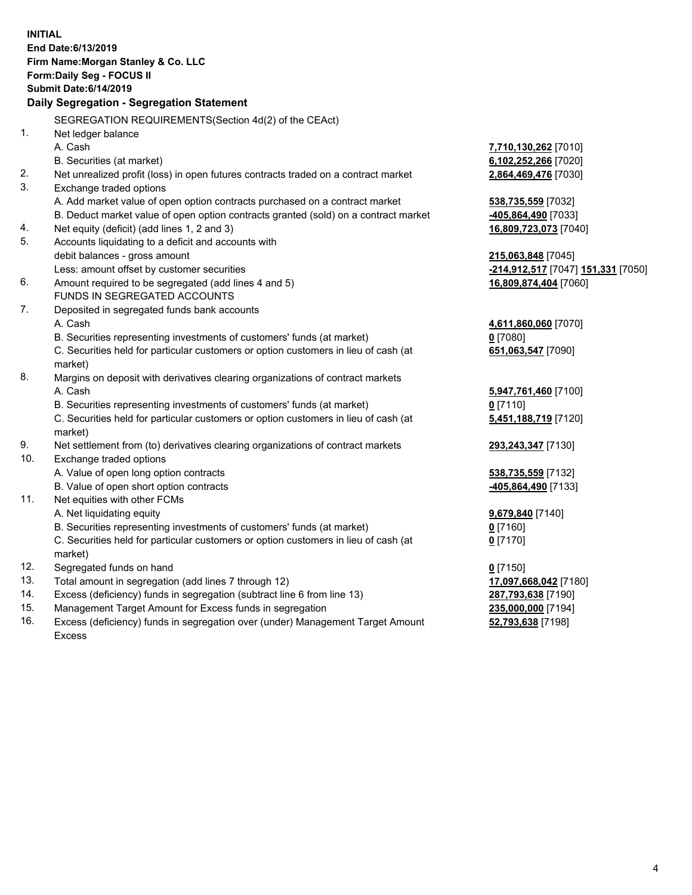| <b>INITIAL</b> | End Date: 6/13/2019<br>Firm Name: Morgan Stanley & Co. LLC<br>Form: Daily Seg - FOCUS II<br><b>Submit Date: 6/14/2019</b> |                                                  |
|----------------|---------------------------------------------------------------------------------------------------------------------------|--------------------------------------------------|
|                | Daily Segregation - Segregation Statement                                                                                 |                                                  |
|                | SEGREGATION REQUIREMENTS(Section 4d(2) of the CEAct)                                                                      |                                                  |
| 1 <sub>1</sub> | Net ledger balance                                                                                                        |                                                  |
|                | A. Cash                                                                                                                   | 7,710,130,262 [7010]                             |
|                | B. Securities (at market)                                                                                                 | 6,102,252,266 [7020]                             |
| 2.             | Net unrealized profit (loss) in open futures contracts traded on a contract market                                        | 2,864,469,476 [7030]                             |
| 3.             | Exchange traded options                                                                                                   |                                                  |
|                | A. Add market value of open option contracts purchased on a contract market                                               | 538,735,559 [7032]                               |
|                | B. Deduct market value of open option contracts granted (sold) on a contract market                                       | -405,864,490 [7033]                              |
| 4.             | Net equity (deficit) (add lines 1, 2 and 3)                                                                               | 16,809,723,073 [7040]                            |
| 5.             | Accounts liquidating to a deficit and accounts with                                                                       |                                                  |
|                | debit balances - gross amount                                                                                             | 215,063,848 [7045]                               |
|                | Less: amount offset by customer securities                                                                                | <u>-214,912,517</u> [7047] <u>151,331</u> [7050] |
| 6.             | Amount required to be segregated (add lines 4 and 5)                                                                      | 16,809,874,404 [7060]                            |
|                | FUNDS IN SEGREGATED ACCOUNTS                                                                                              |                                                  |
| 7.             | Deposited in segregated funds bank accounts                                                                               |                                                  |
|                | A. Cash                                                                                                                   | 4,611,860,060 [7070]                             |
|                | B. Securities representing investments of customers' funds (at market)                                                    | $0$ [7080]                                       |
|                | C. Securities held for particular customers or option customers in lieu of cash (at<br>market)                            | 651,063,547 [7090]                               |
| 8.             | Margins on deposit with derivatives clearing organizations of contract markets                                            |                                                  |
|                | A. Cash                                                                                                                   | 5,947,761,460 [7100]                             |
|                | B. Securities representing investments of customers' funds (at market)                                                    | $0$ [7110]                                       |
|                | C. Securities held for particular customers or option customers in lieu of cash (at<br>market)                            | 5,451,188,719 [7120]                             |
| 9.             | Net settlement from (to) derivatives clearing organizations of contract markets                                           | 293,243,347 [7130]                               |
| 10.            | Exchange traded options                                                                                                   |                                                  |
|                | A. Value of open long option contracts                                                                                    | 538,735,559 [7132]                               |
|                | B. Value of open short option contracts                                                                                   | -405,864,490 [7133]                              |
| 11.            | Net equities with other FCMs                                                                                              |                                                  |
|                | A. Net liquidating equity                                                                                                 | 9,679,840 [7140]                                 |
|                | B. Securities representing investments of customers' funds (at market)                                                    | 0 [7160]                                         |
|                | C. Securities held for particular customers or option customers in lieu of cash (at                                       | 0 <sup>[7170]</sup>                              |
|                | market)                                                                                                                   |                                                  |
| 12.            | Segregated funds on hand                                                                                                  | $0$ [7150]                                       |
| 13.            | Total amount in segregation (add lines 7 through 12)                                                                      | 17,097,668,042 [7180]                            |
| 14.            | Excess (deficiency) funds in segregation (subtract line 6 from line 13)                                                   | 287,793,638 [7190]                               |
| 15.            | Management Target Amount for Excess funds in segregation                                                                  | 235,000,000 [7194]                               |

16. Excess (deficiency) funds in segregation over (under) Management Target Amount Excess

**52,793,638** [7198]